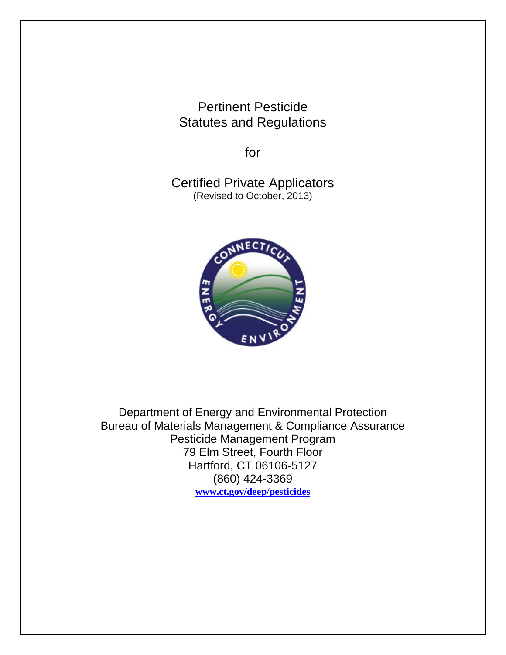Pertinent Pesticide Statutes and Regulations

for

Certified Private Applicators (Revised to October, 2013)



Department of Energy and Environmental Protection Bureau of Materials Management & Compliance Assurance Pesticide Management Program 79 Elm Street, Fourth Floor Hartford, CT 06106-5127 (860) 424-3369 **www.ct.gov/deep/pesticides**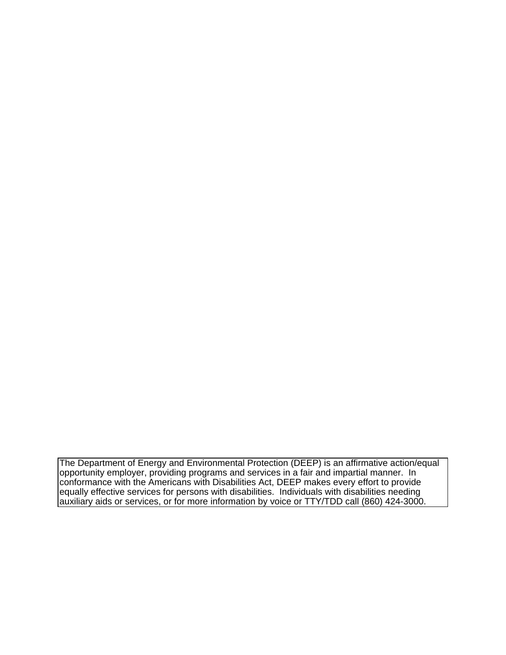The Department of Energy and Environmental Protection (DEEP) is an affirmative action/equal opportunity employer, providing programs and services in a fair and impartial manner. In conformance with the Americans with Disabilities Act, DEEP makes every effort to provide equally effective services for persons with disabilities. Individuals with disabilities needing auxiliary aids or services, or for more information by voice or TTY/TDD call (860) 424-3000.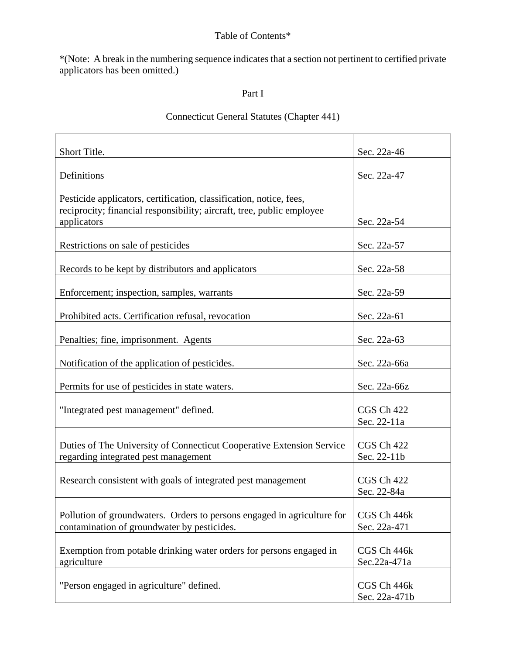# Table of Contents\*

\*(Note: A break in the numbering sequence indicates that a section not pertinent to certified private applicators has been omitted.)

# Part I

# Connecticut General Statutes (Chapter 441)

| Short Title.                                                                                                  | Sec. 22a-46                 |
|---------------------------------------------------------------------------------------------------------------|-----------------------------|
|                                                                                                               |                             |
| Definitions                                                                                                   | Sec. 22a-47                 |
| Pesticide applicators, certification, classification, notice, fees,                                           |                             |
| reciprocity; financial responsibility; aircraft, tree, public employee                                        |                             |
| applicators                                                                                                   | Sec. 22a-54                 |
| Restrictions on sale of pesticides                                                                            | Sec. 22a-57                 |
| Records to be kept by distributors and applicators                                                            | Sec. 22a-58                 |
| Enforcement; inspection, samples, warrants                                                                    | Sec. 22a-59                 |
| Prohibited acts. Certification refusal, revocation                                                            | Sec. 22a-61                 |
| Penalties; fine, imprisonment. Agents                                                                         | Sec. 22a-63                 |
|                                                                                                               |                             |
| Notification of the application of pesticides.                                                                | Sec. 22a-66a                |
| Permits for use of pesticides in state waters.                                                                | Sec. 22a-66z                |
| "Integrated pest management" defined.                                                                         | CGS Ch 422                  |
|                                                                                                               | Sec. 22-11a                 |
|                                                                                                               |                             |
| Duties of The University of Connecticut Cooperative Extension Service<br>regarding integrated pest management | CGS Ch 422<br>Sec. 22-11b   |
|                                                                                                               |                             |
| Research consistent with goals of integrated pest management                                                  | CGS Ch 422                  |
|                                                                                                               | Sec. 22-84a                 |
| Pollution of groundwaters. Orders to persons engaged in agriculture for                                       | CGS Ch 446k                 |
| contamination of groundwater by pesticides.                                                                   | Sec. 22a-471                |
|                                                                                                               |                             |
| Exemption from potable drinking water orders for persons engaged in                                           | CGS Ch 446k<br>Sec.22a-471a |
| agriculture                                                                                                   |                             |
| "Person engaged in agriculture" defined.                                                                      | CGS Ch 446k                 |
|                                                                                                               | Sec. 22a-471b               |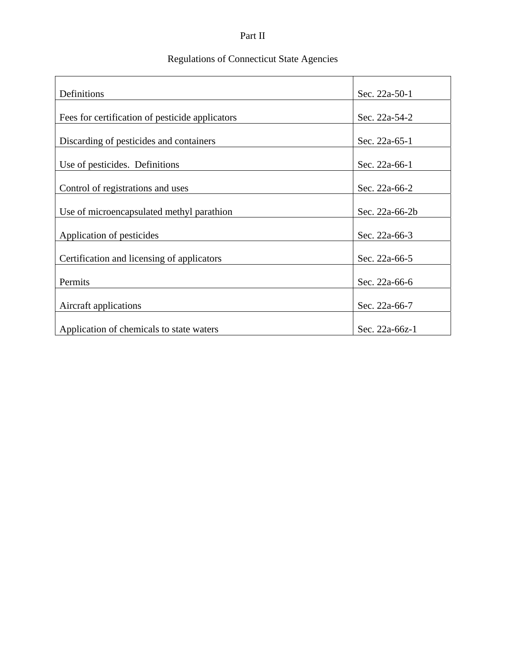# Part II

# Regulations of Connecticut State Agencies

| Definitions                                     | Sec. 22a-50-1  |
|-------------------------------------------------|----------------|
| Fees for certification of pesticide applicators | Sec. 22a-54-2  |
| Discarding of pesticides and containers         | Sec. 22a-65-1  |
| Use of pesticides. Definitions                  | Sec. 22a-66-1  |
| Control of registrations and uses               | Sec. 22a-66-2  |
| Use of microencapsulated methyl parathion       | Sec. 22a-66-2b |
| Application of pesticides                       | Sec. 22a-66-3  |
| Certification and licensing of applicators      | Sec. 22a-66-5  |
| Permits                                         | Sec. 22a-66-6  |
| Aircraft applications                           | Sec. 22a-66-7  |
| Application of chemicals to state waters        | Sec. 22a-66z-1 |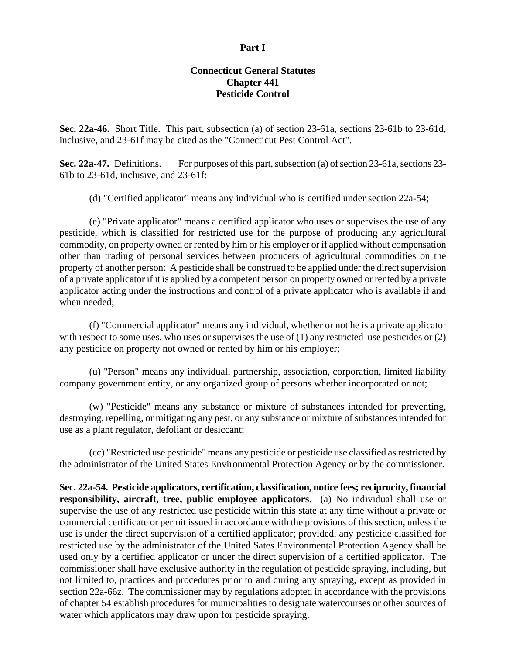#### **Part I**

#### **Connecticut General Statutes Chapter 441 Pesticide Control**

**Sec. 22a-46.** Short Title. This part, subsection (a) of section 23-61a, sections 23-61b to 23-61d, inclusive, and 23-61f may be cited as the "Connecticut Pest Control Act".

**Sec. 22a-47.** Definitions. For purposes of this part, subsection (a) of section 23-61a, sections 23- 61b to 23-61d, inclusive, and 23-61f:

(d) "Certified applicator" means any individual who is certified under section 22a-54;

(e) "Private applicator" means a certified applicator who uses or supervises the use of any pesticide, which is classified for restricted use for the purpose of producing any agricultural commodity, on property owned or rented by him or his employer or if applied without compensation other than trading of personal services between producers of agricultural commodities on the property of another person: A pesticide shall be construed to be applied under the direct supervision of a private applicator if it is applied by a competent person on property owned or rented by a private applicator acting under the instructions and control of a private applicator who is available if and when needed;

(f) "Commercial applicator" means any individual, whether or not he is a private applicator with respect to some uses, who uses or supervises the use of (1) any restricted use pesticides or (2) any pesticide on property not owned or rented by him or his employer;

(u) "Person" means any individual, partnership, association, corporation, limited liability company government entity, or any organized group of persons whether incorporated or not;

(w) "Pesticide" means any substance or mixture of substances intended for preventing, destroying, repelling, or mitigating any pest, or any substance or mixture of substances intended for use as a plant regulator, defoliant or desiccant;

(cc) "Restricted use pesticide" means any pesticide or pesticide use classified as restricted by the administrator of the United States Environmental Protection Agency or by the commissioner.

**Sec. 22a-54. Pesticide applicators, certification, classification, notice fees; reciprocity, financial responsibility, aircraft, tree, public employee applicators**. (a) No individual shall use or supervise the use of any restricted use pesticide within this state at any time without a private or commercial certificate or permit issued in accordance with the provisions of this section, unless the use is under the direct supervision of a certified applicator; provided, any pesticide classified for restricted use by the administrator of the United Sates Environmental Protection Agency shall be used only by a certified applicator or under the direct supervision of a certified applicator. The commissioner shall have exclusive authority in the regulation of pesticide spraying, including, but not limited to, practices and procedures prior to and during any spraying, except as provided in section 22a-66z. The commissioner may by regulations adopted in accordance with the provisions of chapter 54 establish procedures for municipalities to designate watercourses or other sources of water which applicators may draw upon for pesticide spraying.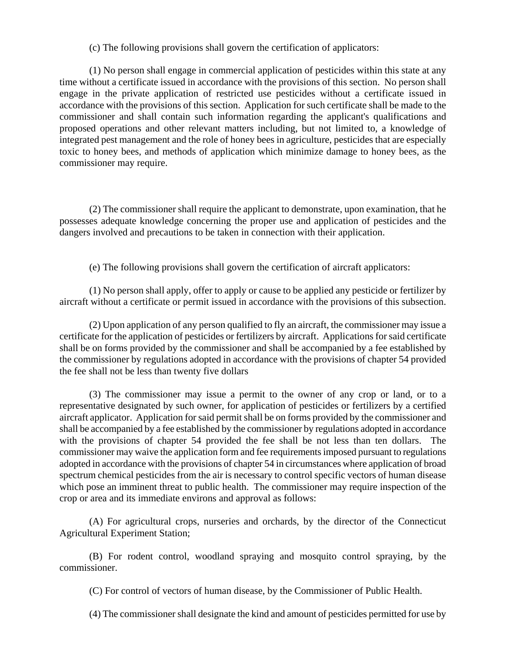#### (c) The following provisions shall govern the certification of applicators:

(1) No person shall engage in commercial application of pesticides within this state at any time without a certificate issued in accordance with the provisions of this section. No person shall engage in the private application of restricted use pesticides without a certificate issued in accordance with the provisions of this section. Application for such certificate shall be made to the commissioner and shall contain such information regarding the applicant's qualifications and proposed operations and other relevant matters including, but not limited to, a knowledge of integrated pest management and the role of honey bees in agriculture, pesticides that are especially toxic to honey bees, and methods of application which minimize damage to honey bees, as the commissioner may require.

(2) The commissioner shall require the applicant to demonstrate, upon examination, that he possesses adequate knowledge concerning the proper use and application of pesticides and the dangers involved and precautions to be taken in connection with their application.

(e) The following provisions shall govern the certification of aircraft applicators:

(1) No person shall apply, offer to apply or cause to be applied any pesticide or fertilizer by aircraft without a certificate or permit issued in accordance with the provisions of this subsection.

(2) Upon application of any person qualified to fly an aircraft, the commissioner may issue a certificate for the application of pesticides or fertilizers by aircraft. Applications for said certificate shall be on forms provided by the commissioner and shall be accompanied by a fee established by the commissioner by regulations adopted in accordance with the provisions of chapter 54 provided the fee shall not be less than twenty five dollars

(3) The commissioner may issue a permit to the owner of any crop or land, or to a representative designated by such owner, for application of pesticides or fertilizers by a certified aircraft applicator. Application for said permit shall be on forms provided by the commissioner and shall be accompanied by a fee established by the commissioner by regulations adopted in accordance with the provisions of chapter 54 provided the fee shall be not less than ten dollars. The commissioner may waive the application form and fee requirements imposed pursuant to regulations adopted in accordance with the provisions of chapter 54 in circumstances where application of broad spectrum chemical pesticides from the air is necessary to control specific vectors of human disease which pose an imminent threat to public health. The commissioner may require inspection of the crop or area and its immediate environs and approval as follows:

(A) For agricultural crops, nurseries and orchards, by the director of the Connecticut Agricultural Experiment Station;

(B) For rodent control, woodland spraying and mosquito control spraying, by the commissioner.

(C) For control of vectors of human disease, by the Commissioner of Public Health.

(4) The commissioner shall designate the kind and amount of pesticides permitted for use by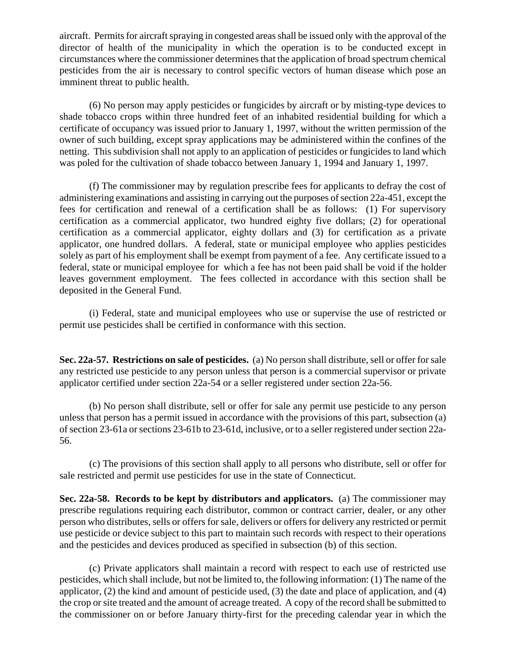aircraft. Permits for aircraft spraying in congested areas shall be issued only with the approval of the director of health of the municipality in which the operation is to be conducted except in circumstances where the commissioner determines that the application of broad spectrum chemical pesticides from the air is necessary to control specific vectors of human disease which pose an imminent threat to public health.

(6) No person may apply pesticides or fungicides by aircraft or by misting-type devices to shade tobacco crops within three hundred feet of an inhabited residential building for which a certificate of occupancy was issued prior to January 1, 1997, without the written permission of the owner of such building, except spray applications may be administered within the confines of the netting. This subdivision shall not apply to an application of pesticides or fungicides to land which was poled for the cultivation of shade tobacco between January 1, 1994 and January 1, 1997.

(f) The commissioner may by regulation prescribe fees for applicants to defray the cost of administering examinations and assisting in carrying out the purposes of section 22a-451, except the fees for certification and renewal of a certification shall be as follows: (1) For supervisory certification as a commercial applicator, two hundred eighty five dollars; (2) for operational certification as a commercial applicator, eighty dollars and (3) for certification as a private applicator, one hundred dollars. A federal, state or municipal employee who applies pesticides solely as part of his employment shall be exempt from payment of a fee. Any certificate issued to a federal, state or municipal employee for which a fee has not been paid shall be void if the holder leaves government employment. The fees collected in accordance with this section shall be deposited in the General Fund.

(i) Federal, state and municipal employees who use or supervise the use of restricted or permit use pesticides shall be certified in conformance with this section.

**Sec. 22a-57. Restrictions on sale of pesticides.** (a) No person shall distribute, sell or offer for sale any restricted use pesticide to any person unless that person is a commercial supervisor or private applicator certified under section 22a-54 or a seller registered under section 22a-56.

(b) No person shall distribute, sell or offer for sale any permit use pesticide to any person unless that person has a permit issued in accordance with the provisions of this part, subsection (a) of section 23-61a or sections 23-61b to 23-61d, inclusive, or to a seller registered under section 22a-56.

(c) The provisions of this section shall apply to all persons who distribute, sell or offer for sale restricted and permit use pesticides for use in the state of Connecticut.

**Sec. 22a-58. Records to be kept by distributors and applicators.** (a) The commissioner may prescribe regulations requiring each distributor, common or contract carrier, dealer, or any other person who distributes, sells or offers for sale, delivers or offers for delivery any restricted or permit use pesticide or device subject to this part to maintain such records with respect to their operations and the pesticides and devices produced as specified in subsection (b) of this section.

(c) Private applicators shall maintain a record with respect to each use of restricted use pesticides, which shall include, but not be limited to, the following information: (1) The name of the applicator, (2) the kind and amount of pesticide used, (3) the date and place of application, and (4) the crop or site treated and the amount of acreage treated. A copy of the record shall be submitted to the commissioner on or before January thirty-first for the preceding calendar year in which the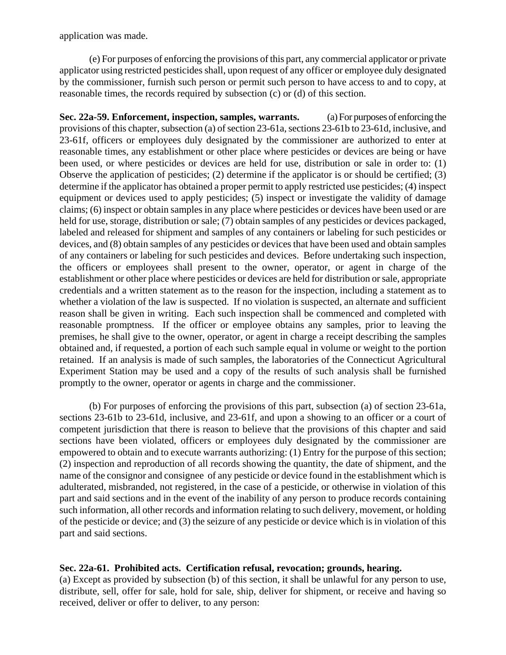application was made.

(e) For purposes of enforcing the provisions of this part, any commercial applicator or private applicator using restricted pesticides shall, upon request of any officer or employee duly designated by the commissioner, furnish such person or permit such person to have access to and to copy, at reasonable times, the records required by subsection (c) or (d) of this section.

**Sec. 22a-59. Enforcement, inspection, samples, warrants.** (a) For purposes of enforcing the provisions of this chapter, subsection (a) of section 23-61a, sections 23-61b to 23-61d, inclusive, and 23-61f, officers or employees duly designated by the commissioner are authorized to enter at reasonable times, any establishment or other place where pesticides or devices are being or have been used, or where pesticides or devices are held for use, distribution or sale in order to: (1) Observe the application of pesticides; (2) determine if the applicator is or should be certified; (3) determine if the applicator has obtained a proper permit to apply restricted use pesticides; (4) inspect equipment or devices used to apply pesticides; (5) inspect or investigate the validity of damage claims; (6) inspect or obtain samples in any place where pesticides or devices have been used or are held for use, storage, distribution or sale; (7) obtain samples of any pesticides or devices packaged, labeled and released for shipment and samples of any containers or labeling for such pesticides or devices, and (8) obtain samples of any pesticides or devices that have been used and obtain samples of any containers or labeling for such pesticides and devices. Before undertaking such inspection, the officers or employees shall present to the owner, operator, or agent in charge of the establishment or other place where pesticides or devices are held for distribution or sale, appropriate credentials and a written statement as to the reason for the inspection, including a statement as to whether a violation of the law is suspected. If no violation is suspected, an alternate and sufficient reason shall be given in writing. Each such inspection shall be commenced and completed with reasonable promptness. If the officer or employee obtains any samples, prior to leaving the premises, he shall give to the owner, operator, or agent in charge a receipt describing the samples obtained and, if requested, a portion of each such sample equal in volume or weight to the portion retained. If an analysis is made of such samples, the laboratories of the Connecticut Agricultural Experiment Station may be used and a copy of the results of such analysis shall be furnished promptly to the owner, operator or agents in charge and the commissioner.

(b) For purposes of enforcing the provisions of this part, subsection (a) of section 23-61a, sections 23-61b to 23-61d, inclusive, and 23-61f, and upon a showing to an officer or a court of competent jurisdiction that there is reason to believe that the provisions of this chapter and said sections have been violated, officers or employees duly designated by the commissioner are empowered to obtain and to execute warrants authorizing: (1) Entry for the purpose of this section; (2) inspection and reproduction of all records showing the quantity, the date of shipment, and the name of the consignor and consignee of any pesticide or device found in the establishment which is adulterated, misbranded, not registered, in the case of a pesticide, or otherwise in violation of this part and said sections and in the event of the inability of any person to produce records containing such information, all other records and information relating to such delivery, movement, or holding of the pesticide or device; and (3) the seizure of any pesticide or device which is in violation of this part and said sections.

## **Sec. 22a-61. Prohibited acts. Certification refusal, revocation; grounds, hearing.**

(a) Except as provided by subsection (b) of this section, it shall be unlawful for any person to use, distribute, sell, offer for sale, hold for sale, ship, deliver for shipment, or receive and having so received, deliver or offer to deliver, to any person: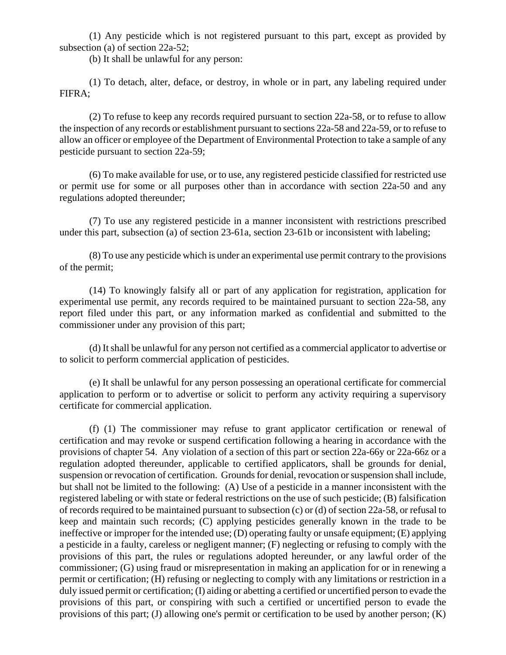(1) Any pesticide which is not registered pursuant to this part, except as provided by subsection (a) of section 22a-52;

(b) It shall be unlawful for any person:

(1) To detach, alter, deface, or destroy, in whole or in part, any labeling required under FIFRA;

(2) To refuse to keep any records required pursuant to section 22a-58, or to refuse to allow the inspection of any records or establishment pursuant to sections 22a-58 and 22a-59, or to refuse to allow an officer or employee of the Department of Environmental Protection to take a sample of any pesticide pursuant to section 22a-59;

(6) To make available for use, or to use, any registered pesticide classified for restricted use or permit use for some or all purposes other than in accordance with section 22a-50 and any regulations adopted thereunder;

(7) To use any registered pesticide in a manner inconsistent with restrictions prescribed under this part, subsection (a) of section 23-61a, section 23-61b or inconsistent with labeling;

(8) To use any pesticide which is under an experimental use permit contrary to the provisions of the permit;

(14) To knowingly falsify all or part of any application for registration, application for experimental use permit, any records required to be maintained pursuant to section 22a-58, any report filed under this part, or any information marked as confidential and submitted to the commissioner under any provision of this part;

(d) It shall be unlawful for any person not certified as a commercial applicator to advertise or to solicit to perform commercial application of pesticides.

(e) It shall be unlawful for any person possessing an operational certificate for commercial application to perform or to advertise or solicit to perform any activity requiring a supervisory certificate for commercial application.

(f) (1) The commissioner may refuse to grant applicator certification or renewal of certification and may revoke or suspend certification following a hearing in accordance with the provisions of chapter 54. Any violation of a section of this part or section 22a-66y or 22a-66z or a regulation adopted thereunder, applicable to certified applicators, shall be grounds for denial, suspension or revocation of certification. Grounds for denial, revocation or suspension shall include, but shall not be limited to the following: (A) Use of a pesticide in a manner inconsistent with the registered labeling or with state or federal restrictions on the use of such pesticide; (B) falsification of records required to be maintained pursuant to subsection (c) or (d) of section 22a-58, or refusal to keep and maintain such records; (C) applying pesticides generally known in the trade to be ineffective or improper for the intended use; (D) operating faulty or unsafe equipment; (E) applying a pesticide in a faulty, careless or negligent manner; (F) neglecting or refusing to comply with the provisions of this part, the rules or regulations adopted hereunder, or any lawful order of the commissioner; (G) using fraud or misrepresentation in making an application for or in renewing a permit or certification; (H) refusing or neglecting to comply with any limitations or restriction in a duly issued permit or certification; (I) aiding or abetting a certified or uncertified person to evade the provisions of this part, or conspiring with such a certified or uncertified person to evade the provisions of this part; (J) allowing one's permit or certification to be used by another person; (K)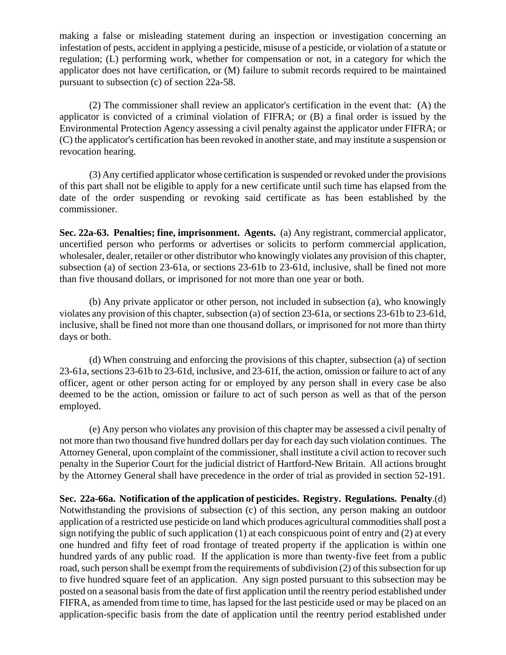making a false or misleading statement during an inspection or investigation concerning an infestation of pests, accident in applying a pesticide, misuse of a pesticide, or violation of a statute or regulation; (L) performing work, whether for compensation or not, in a category for which the applicator does not have certification, or (M) failure to submit records required to be maintained pursuant to subsection (c) of section 22a-58.

(2) The commissioner shall review an applicator's certification in the event that: (A) the applicator is convicted of a criminal violation of FIFRA; or (B) a final order is issued by the Environmental Protection Agency assessing a civil penalty against the applicator under FIFRA; or (C) the applicator's certification has been revoked in another state, and may institute a suspension or revocation hearing.

(3) Any certified applicator whose certification is suspended or revoked under the provisions of this part shall not be eligible to apply for a new certificate until such time has elapsed from the date of the order suspending or revoking said certificate as has been established by the commissioner.

**Sec. 22a-63. Penalties; fine, imprisonment. Agents.** (a) Any registrant, commercial applicator, uncertified person who performs or advertises or solicits to perform commercial application, wholesaler, dealer, retailer or other distributor who knowingly violates any provision of this chapter, subsection (a) of section 23-61a, or sections 23-61b to 23-61d, inclusive, shall be fined not more than five thousand dollars, or imprisoned for not more than one year or both.

(b) Any private applicator or other person, not included in subsection (a), who knowingly violates any provision of this chapter, subsection (a) of section 23-61a, or sections 23-61b to 23-61d, inclusive, shall be fined not more than one thousand dollars, or imprisoned for not more than thirty days or both.

(d) When construing and enforcing the provisions of this chapter, subsection (a) of section 23-61a, sections 23-61b to 23-61d, inclusive, and 23-61f, the action, omission or failure to act of any officer, agent or other person acting for or employed by any person shall in every case be also deemed to be the action, omission or failure to act of such person as well as that of the person employed.

(e) Any person who violates any provision of this chapter may be assessed a civil penalty of not more than two thousand five hundred dollars per day for each day such violation continues. The Attorney General, upon complaint of the commissioner, shall institute a civil action to recover such penalty in the Superior Court for the judicial district of Hartford-New Britain. All actions brought by the Attorney General shall have precedence in the order of trial as provided in section 52-191.

**Sec. 22a-66a. Notification of the application of pesticides. Registry. Regulations. Penalty**.(d) Notwithstanding the provisions of subsection (c) of this section, any person making an outdoor application of a restricted use pesticide on land which produces agricultural commodities shall post a sign notifying the public of such application (1) at each conspicuous point of entry and (2) at every one hundred and fifty feet of road frontage of treated property if the application is within one hundred yards of any public road. If the application is more than twenty-five feet from a public road, such person shall be exempt from the requirements of subdivision (2) of this subsection for up to five hundred square feet of an application. Any sign posted pursuant to this subsection may be posted on a seasonal basis from the date of first application until the reentry period established under FIFRA, as amended from time to time, has lapsed for the last pesticide used or may be placed on an application-specific basis from the date of application until the reentry period established under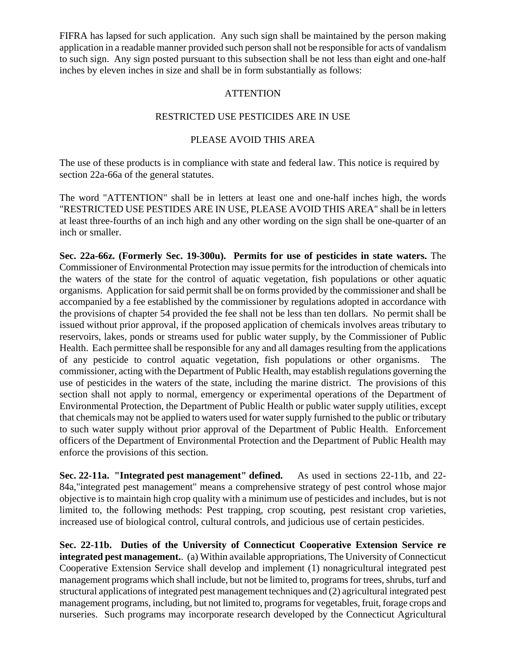FIFRA has lapsed for such application. Any such sign shall be maintained by the person making application in a readable manner provided such person shall not be responsible for acts of vandalism to such sign. Any sign posted pursuant to this subsection shall be not less than eight and one-half inches by eleven inches in size and shall be in form substantially as follows:

### **ATTENTION**

#### RESTRICTED USE PESTICIDES ARE IN USE

#### PLEASE AVOID THIS AREA

The use of these products is in compliance with state and federal law. This notice is required by section 22a-66a of the general statutes.

The word "ATTENTION" shall be in letters at least one and one-half inches high, the words "RESTRICTED USE PESTIDES ARE IN USE, PLEASE AVOID THIS AREA" shall be in letters at least three-fourths of an inch high and any other wording on the sign shall be one-quarter of an inch or smaller.

**Sec. 22a-66z. (Formerly Sec. 19-300u). Permits for use of pesticides in state waters.** The Commissioner of Environmental Protection may issue permits for the introduction of chemicals into the waters of the state for the control of aquatic vegetation, fish populations or other aquatic organisms. Application for said permit shall be on forms provided by the commissioner and shall be accompanied by a fee established by the commissioner by regulations adopted in accordance with the provisions of chapter 54 provided the fee shall not be less than ten dollars. No permit shall be issued without prior approval, if the proposed application of chemicals involves areas tributary to reservoirs, lakes, ponds or streams used for public water supply, by the Commissioner of Public Health. Each permittee shall be responsible for any and all damages resulting from the applications of any pesticide to control aquatic vegetation, fish populations or other organisms. The commissioner, acting with the Department of Public Health, may establish regulations governing the use of pesticides in the waters of the state, including the marine district. The provisions of this section shall not apply to normal, emergency or experimental operations of the Department of Environmental Protection, the Department of Public Health or public water supply utilities, except that chemicals may not be applied to waters used for water supply furnished to the public or tributary to such water supply without prior approval of the Department of Public Health. Enforcement officers of the Department of Environmental Protection and the Department of Public Health may enforce the provisions of this section.

**Sec. 22-11a. "Integrated pest management" defined.** As used in sections 22-11b, and 22- 84a,"integrated pest management" means a comprehensive strategy of pest control whose major objective is to maintain high crop quality with a minimum use of pesticides and includes, but is not limited to, the following methods: Pest trapping, crop scouting, pest resistant crop varieties, increased use of biological control, cultural controls, and judicious use of certain pesticides.

**Sec. 22-11b. Duties of the University of Connecticut Cooperative Extension Service re integrated pest management.**. (a) Within available appropriations, The University of Connecticut Cooperative Extension Service shall develop and implement (1) nonagricultural integrated pest management programs which shall include, but not be limited to, programs for trees, shrubs, turf and structural applications of integrated pest management techniques and (2) agricultural integrated pest management programs, including, but not limited to, programs for vegetables, fruit, forage crops and nurseries. Such programs may incorporate research developed by the Connecticut Agricultural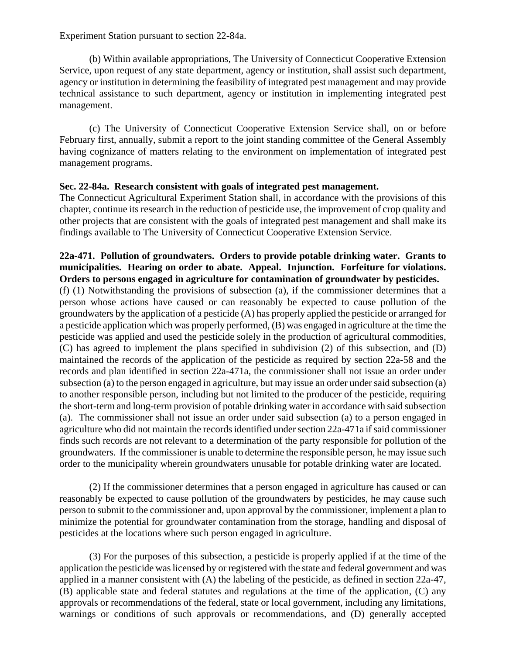Experiment Station pursuant to section 22-84a.

(b) Within available appropriations, The University of Connecticut Cooperative Extension Service, upon request of any state department, agency or institution, shall assist such department, agency or institution in determining the feasibility of integrated pest management and may provide technical assistance to such department, agency or institution in implementing integrated pest management.

(c) The University of Connecticut Cooperative Extension Service shall, on or before February first, annually, submit a report to the joint standing committee of the General Assembly having cognizance of matters relating to the environment on implementation of integrated pest management programs.

#### **Sec. 22-84a. Research consistent with goals of integrated pest management.**

The Connecticut Agricultural Experiment Station shall, in accordance with the provisions of this chapter, continue its research in the reduction of pesticide use, the improvement of crop quality and other projects that are consistent with the goals of integrated pest management and shall make its findings available to The University of Connecticut Cooperative Extension Service.

### **22a-471. Pollution of groundwaters. Orders to provide potable drinking water. Grants to municipalities. Hearing on order to abate. Appeal. Injunction. Forfeiture for violations. Orders to persons engaged in agriculture for contamination of groundwater by pesticides.**

(f) (1) Notwithstanding the provisions of subsection (a), if the commissioner determines that a person whose actions have caused or can reasonably be expected to cause pollution of the groundwaters by the application of a pesticide (A) has properly applied the pesticide or arranged for a pesticide application which was properly performed, (B) was engaged in agriculture at the time the pesticide was applied and used the pesticide solely in the production of agricultural commodities, (C) has agreed to implement the plans specified in subdivision (2) of this subsection, and (D) maintained the records of the application of the pesticide as required by section 22a-58 and the records and plan identified in section 22a-471a, the commissioner shall not issue an order under subsection (a) to the person engaged in agriculture, but may issue an order under said subsection (a) to another responsible person, including but not limited to the producer of the pesticide, requiring the short-term and long-term provision of potable drinking water in accordance with said subsection (a). The commissioner shall not issue an order under said subsection (a) to a person engaged in agriculture who did not maintain the records identified under section 22a-471a if said commissioner finds such records are not relevant to a determination of the party responsible for pollution of the groundwaters. If the commissioner is unable to determine the responsible person, he may issue such order to the municipality wherein groundwaters unusable for potable drinking water are located.

(2) If the commissioner determines that a person engaged in agriculture has caused or can reasonably be expected to cause pollution of the groundwaters by pesticides, he may cause such person to submit to the commissioner and, upon approval by the commissioner, implement a plan to minimize the potential for groundwater contamination from the storage, handling and disposal of pesticides at the locations where such person engaged in agriculture.

(3) For the purposes of this subsection, a pesticide is properly applied if at the time of the application the pesticide was licensed by or registered with the state and federal government and was applied in a manner consistent with (A) the labeling of the pesticide, as defined in section 22a-47, (B) applicable state and federal statutes and regulations at the time of the application, (C) any approvals or recommendations of the federal, state or local government, including any limitations, warnings or conditions of such approvals or recommendations, and (D) generally accepted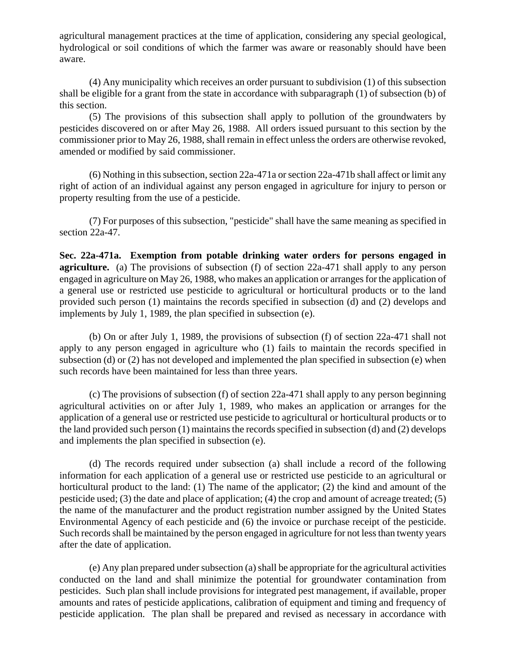agricultural management practices at the time of application, considering any special geological, hydrological or soil conditions of which the farmer was aware or reasonably should have been aware.

(4) Any municipality which receives an order pursuant to subdivision (1) of this subsection shall be eligible for a grant from the state in accordance with subparagraph (1) of subsection (b) of this section.

(5) The provisions of this subsection shall apply to pollution of the groundwaters by pesticides discovered on or after May 26, 1988. All orders issued pursuant to this section by the commissioner prior to May 26, 1988, shall remain in effect unless the orders are otherwise revoked, amended or modified by said commissioner.

(6) Nothing in this subsection, section 22a-471a or section 22a-471b shall affect or limit any right of action of an individual against any person engaged in agriculture for injury to person or property resulting from the use of a pesticide.

(7) For purposes of this subsection, "pesticide" shall have the same meaning as specified in section 22a-47.

**Sec. 22a-471a. Exemption from potable drinking water orders for persons engaged in agriculture.** (a) The provisions of subsection (f) of section 22a-471 shall apply to any person engaged in agriculture on May 26, 1988, who makes an application or arranges for the application of a general use or restricted use pesticide to agricultural or horticultural products or to the land provided such person (1) maintains the records specified in subsection (d) and (2) develops and implements by July 1, 1989, the plan specified in subsection (e).

(b) On or after July 1, 1989, the provisions of subsection (f) of section 22a-471 shall not apply to any person engaged in agriculture who (1) fails to maintain the records specified in subsection (d) or (2) has not developed and implemented the plan specified in subsection (e) when such records have been maintained for less than three years.

(c) The provisions of subsection (f) of section 22a-471 shall apply to any person beginning agricultural activities on or after July 1, 1989, who makes an application or arranges for the application of a general use or restricted use pesticide to agricultural or horticultural products or to the land provided such person (1) maintains the records specified in subsection (d) and (2) develops and implements the plan specified in subsection (e).

(d) The records required under subsection (a) shall include a record of the following information for each application of a general use or restricted use pesticide to an agricultural or horticultural product to the land: (1) The name of the applicator; (2) the kind and amount of the pesticide used; (3) the date and place of application; (4) the crop and amount of acreage treated; (5) the name of the manufacturer and the product registration number assigned by the United States Environmental Agency of each pesticide and (6) the invoice or purchase receipt of the pesticide. Such records shall be maintained by the person engaged in agriculture for not less than twenty years after the date of application.

(e) Any plan prepared under subsection (a) shall be appropriate for the agricultural activities conducted on the land and shall minimize the potential for groundwater contamination from pesticides. Such plan shall include provisions for integrated pest management, if available, proper amounts and rates of pesticide applications, calibration of equipment and timing and frequency of pesticide application. The plan shall be prepared and revised as necessary in accordance with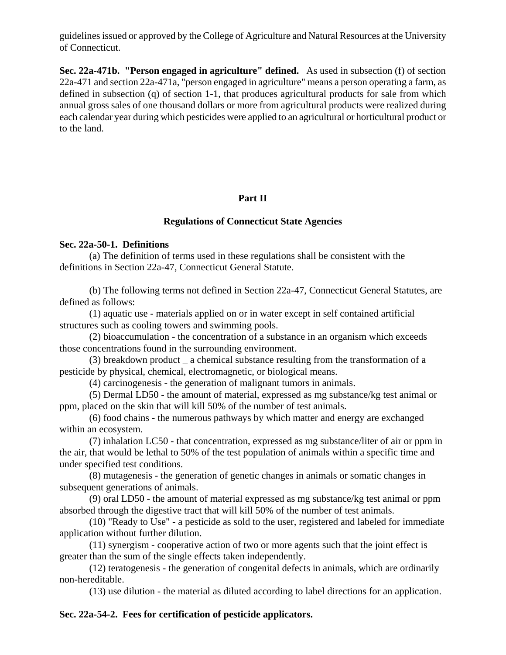guidelines issued or approved by the College of Agriculture and Natural Resources at the University of Connecticut.

**Sec. 22a-471b. "Person engaged in agriculture" defined.** As used in subsection (f) of section 22a-471 and section 22a-471a, "person engaged in agriculture" means a person operating a farm, as defined in subsection (q) of section 1-1, that produces agricultural products for sale from which annual gross sales of one thousand dollars or more from agricultural products were realized during each calendar year during which pesticides were applied to an agricultural or horticultural product or to the land.

## **Part II**

#### **Regulations of Connecticut State Agencies**

#### **Sec. 22a-50-1. Definitions**

(a) The definition of terms used in these regulations shall be consistent with the definitions in Section 22a-47, Connecticut General Statute.

 (b) The following terms not defined in Section 22a-47, Connecticut General Statutes, are defined as follows:

 (1) aquatic use - materials applied on or in water except in self contained artificial structures such as cooling towers and swimming pools.

 (2) bioaccumulation - the concentration of a substance in an organism which exceeds those concentrations found in the surrounding environment.

 (3) breakdown product \_ a chemical substance resulting from the transformation of a pesticide by physical, chemical, electromagnetic, or biological means.

(4) carcinogenesis - the generation of malignant tumors in animals.

 (5) Dermal LD50 - the amount of material, expressed as mg substance/kg test animal or ppm, placed on the skin that will kill 50% of the number of test animals.

 (6) food chains - the numerous pathways by which matter and energy are exchanged within an ecosystem.

 (7) inhalation LC50 - that concentration, expressed as mg substance/liter of air or ppm in the air, that would be lethal to 50% of the test population of animals within a specific time and under specified test conditions.

 (8) mutagenesis - the generation of genetic changes in animals or somatic changes in subsequent generations of animals.

 (9) oral LD50 - the amount of material expressed as mg substance/kg test animal or ppm absorbed through the digestive tract that will kill 50% of the number of test animals.

 (10) "Ready to Use" - a pesticide as sold to the user, registered and labeled for immediate application without further dilution.

 (11) synergism - cooperative action of two or more agents such that the joint effect is greater than the sum of the single effects taken independently.

 (12) teratogenesis - the generation of congenital defects in animals, which are ordinarily non-hereditable.

(13) use dilution - the material as diluted according to label directions for an application.

#### **Sec. 22a-54-2. Fees for certification of pesticide applicators.**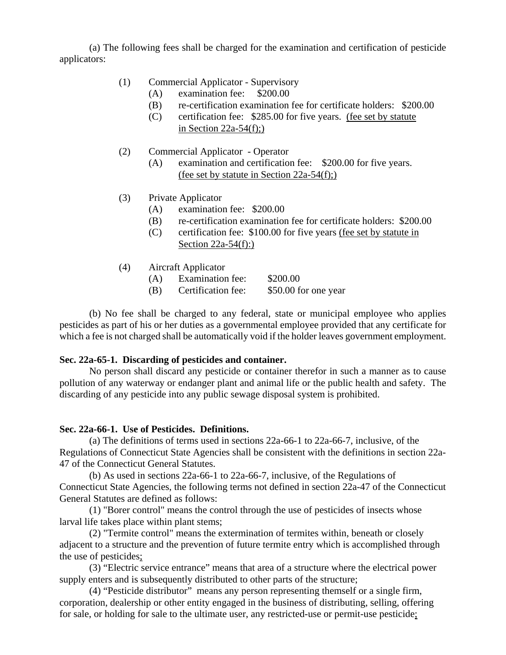(a) The following fees shall be charged for the examination and certification of pesticide applicators:

- (1) Commercial Applicator Supervisory
	- (A) examination fee: \$200.00
	- (B) re-certification examination fee for certificate holders: \$200.00
	- (C) certification fee: \$285.00 for five years. (fee set by statute in Section  $22a-54(f)$ ;)
- (2) Commercial Applicator Operator
	- (A) examination and certification fee: \$200.00 for five years. (fee set by statute in Section 22a-54(f);)
- (3) Private Applicator
	- (A) examination fee: \$200.00
	- (B) re-certification examination fee for certificate holders: \$200.00
	- (C) certification fee: \$100.00 for five years (fee set by statute in Section  $22a-54(f)$ :
- (4) Aircraft Applicator
	- (A) Examination fee: \$200.00
	- (B) Certification fee: \$50.00 for one year

(b) No fee shall be charged to any federal, state or municipal employee who applies pesticides as part of his or her duties as a governmental employee provided that any certificate for which a fee is not charged shall be automatically void if the holder leaves government employment.

#### **Sec. 22a-65-1. Discarding of pesticides and container.**

No person shall discard any pesticide or container therefor in such a manner as to cause pollution of any waterway or endanger plant and animal life or the public health and safety. The discarding of any pesticide into any public sewage disposal system is prohibited.

#### **Sec. 22a-66-1. Use of Pesticides. Definitions.**

(a) The definitions of terms used in sections 22a-66-1 to 22a-66-7, inclusive, of the Regulations of Connecticut State Agencies shall be consistent with the definitions in section 22a-47 of the Connecticut General Statutes.

(b) As used in sections 22a-66-1 to 22a-66-7, inclusive, of the Regulations of Connecticut State Agencies, the following terms not defined in section 22a-47 of the Connecticut General Statutes are defined as follows:

(1) "Borer control" means the control through the use of pesticides of insects whose larval life takes place within plant stems;

(2) "Termite control" means the extermination of termites within, beneath or closely adjacent to a structure and the prevention of future termite entry which is accomplished through the use of pesticides;

(3) "Electric service entrance" means that area of a structure where the electrical power supply enters and is subsequently distributed to other parts of the structure;

(4) "Pesticide distributor" means any person representing themself or a single firm, corporation, dealership or other entity engaged in the business of distributing, selling, offering for sale, or holding for sale to the ultimate user, any restricted-use or permit-use pesticide;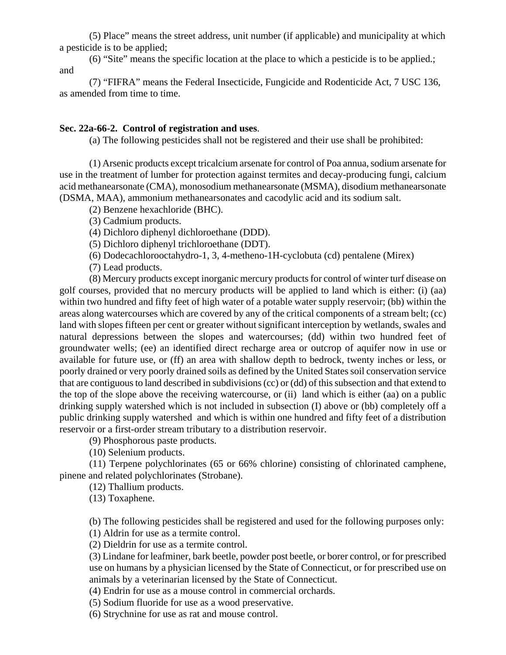(5) Place" means the street address, unit number (if applicable) and municipality at which a pesticide is to be applied;

(6) "Site" means the specific location at the place to which a pesticide is to be applied.; and

(7) "FIFRA" means the Federal Insecticide, Fungicide and Rodenticide Act, 7 USC 136, as amended from time to time.

#### **Sec. 22a-66-2. Control of registration and uses**.

(a) The following pesticides shall not be registered and their use shall be prohibited:

(1) Arsenic products except tricalcium arsenate for control of Poa annua, sodium arsenate for use in the treatment of lumber for protection against termites and decay-producing fungi, calcium acid methanearsonate (CMA), monosodium methanearsonate (MSMA), disodium methanearsonate (DSMA, MAA), ammonium methanearsonates and cacodylic acid and its sodium salt.

(2) Benzene hexachloride (BHC).

(3) Cadmium products.

(4) Dichloro diphenyl dichloroethane (DDD).

(5) Dichloro diphenyl trichloroethane (DDT).

(6) Dodecachlorooctahydro-1, 3, 4-metheno-1H-cyclobuta (cd) pentalene (Mirex)

(7) Lead products.

(8) Mercury products except inorganic mercury products for control of winter turf disease on golf courses, provided that no mercury products will be applied to land which is either: (i) (aa) within two hundred and fifty feet of high water of a potable water supply reservoir; (bb) within the areas along watercourses which are covered by any of the critical components of a stream belt; (cc) land with slopes fifteen per cent or greater without significant interception by wetlands, swales and natural depressions between the slopes and watercourses; (dd) within two hundred feet of groundwater wells; (ee) an identified direct recharge area or outcrop of aquifer now in use or available for future use, or (ff) an area with shallow depth to bedrock, twenty inches or less, or poorly drained or very poorly drained soils as defined by the United States soil conservation service that are contiguous to land described in subdivisions (cc) or (dd) of this subsection and that extend to the top of the slope above the receiving watercourse, or (ii) land which is either (aa) on a public drinking supply watershed which is not included in subsection (I) above or (bb) completely off a public drinking supply watershed and which is within one hundred and fifty feet of a distribution reservoir or a first-order stream tributary to a distribution reservoir.

(9) Phosphorous paste products.

(10) Selenium products.

(11) Terpene polychlorinates (65 or 66% chlorine) consisting of chlorinated camphene, pinene and related polychlorinates (Strobane).

(12) Thallium products.

(13) Toxaphene.

(b) The following pesticides shall be registered and used for the following purposes only:

(1) Aldrin for use as a termite control.

(2) Dieldrin for use as a termite control.

(3) Lindane for leafminer, bark beetle, powder post beetle, or borer control, or for prescribed use on humans by a physician licensed by the State of Connecticut, or for prescribed use on animals by a veterinarian licensed by the State of Connecticut.

(4) Endrin for use as a mouse control in commercial orchards.

(5) Sodium fluoride for use as a wood preservative.

(6) Strychnine for use as rat and mouse control.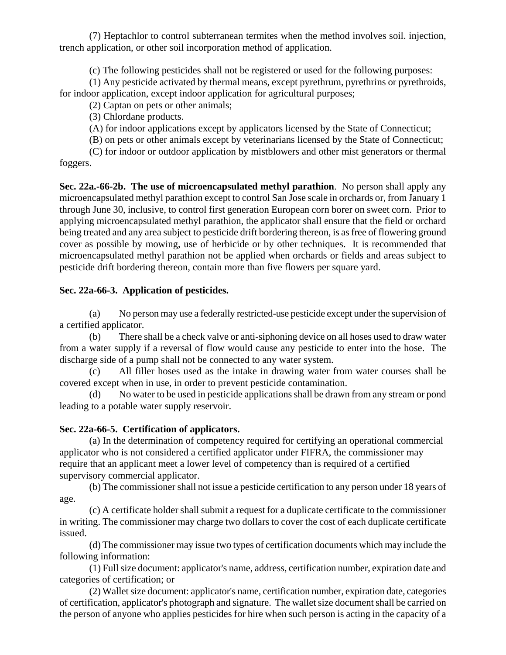(7) Heptachlor to control subterranean termites when the method involves soil. injection, trench application, or other soil incorporation method of application.

(c) The following pesticides shall not be registered or used for the following purposes:

(1) Any pesticide activated by thermal means, except pyrethrum, pyrethrins or pyrethroids, for indoor application, except indoor application for agricultural purposes;

(2) Captan on pets or other animals;

(3) Chlordane products.

(A) for indoor applications except by applicators licensed by the State of Connecticut;

(B) on pets or other animals except by veterinarians licensed by the State of Connecticut;

(C) for indoor or outdoor application by mistblowers and other mist generators or thermal foggers.

**Sec. 22a.-66-2b. The use of microencapsulated methyl parathion**. No person shall apply any microencapsulated methyl parathion except to control San Jose scale in orchards or, from January 1 through June 30, inclusive, to control first generation European corn borer on sweet corn. Prior to applying microencapsulated methyl parathion, the applicator shall ensure that the field or orchard being treated and any area subject to pesticide drift bordering thereon, is as free of flowering ground cover as possible by mowing, use of herbicide or by other techniques. It is recommended that microencapsulated methyl parathion not be applied when orchards or fields and areas subject to pesticide drift bordering thereon, contain more than five flowers per square yard.

## **Sec. 22a-66-3. Application of pesticides.**

(a) No person may use a federally restricted-use pesticide except under the supervision of a certified applicator.

(b) There shall be a check valve or anti-siphoning device on all hoses used to draw water from a water supply if a reversal of flow would cause any pesticide to enter into the hose. The discharge side of a pump shall not be connected to any water system.

(c) All filler hoses used as the intake in drawing water from water courses shall be covered except when in use, in order to prevent pesticide contamination.

(d) No water to be used in pesticide applications shall be drawn from any stream or pond leading to a potable water supply reservoir.

#### **Sec. 22a-66-5. Certification of applicators.**

(a) In the determination of competency required for certifying an operational commercial applicator who is not considered a certified applicator under FIFRA, the commissioner may require that an applicant meet a lower level of competency than is required of a certified supervisory commercial applicator.

(b) The commissioner shall not issue a pesticide certification to any person under 18 years of age.

(c) A certificate holder shall submit a request for a duplicate certificate to the commissioner in writing. The commissioner may charge two dollars to cover the cost of each duplicate certificate issued.

(d) The commissioner may issue two types of certification documents which may include the following information:

(1) Full size document: applicator's name, address, certification number, expiration date and categories of certification; or

(2) Wallet size document: applicator's name, certification number, expiration date, categories of certification, applicator's photograph and signature. The wallet size document shall be carried on the person of anyone who applies pesticides for hire when such person is acting in the capacity of a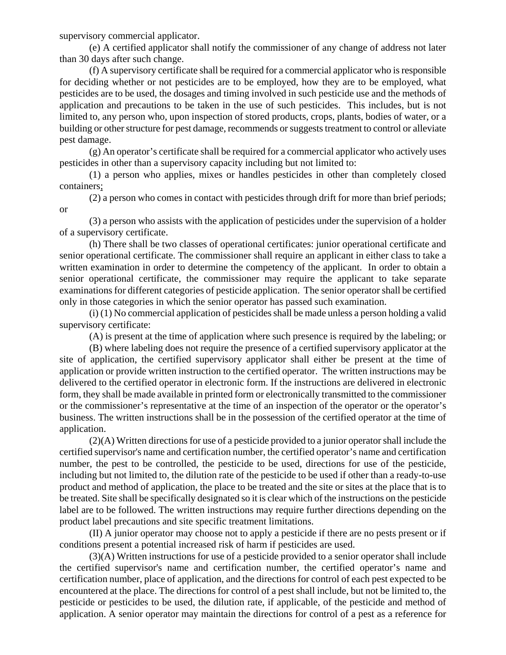supervisory commercial applicator.

(e) A certified applicator shall notify the commissioner of any change of address not later than 30 days after such change.

(f) A supervisory certificate shall be required for a commercial applicator who is responsible for deciding whether or not pesticides are to be employed, how they are to be employed, what pesticides are to be used, the dosages and timing involved in such pesticide use and the methods of application and precautions to be taken in the use of such pesticides. This includes, but is not limited to, any person who, upon inspection of stored products, crops, plants, bodies of water, or a building or other structure for pest damage, recommends or suggests treatment to control or alleviate pest damage.

(g) An operator's certificate shall be required for a commercial applicator who actively uses pesticides in other than a supervisory capacity including but not limited to:

(1) a person who applies, mixes or handles pesticides in other than completely closed containers;

(2) a person who comes in contact with pesticides through drift for more than brief periods; or

(3) a person who assists with the application of pesticides under the supervision of a holder of a supervisory certificate.

(h) There shall be two classes of operational certificates: junior operational certificate and senior operational certificate. The commissioner shall require an applicant in either class to take a written examination in order to determine the competency of the applicant. In order to obtain a senior operational certificate, the commissioner may require the applicant to take separate examinations for different categories of pesticide application. The senior operator shall be certified only in those categories in which the senior operator has passed such examination.

(i) (1) No commercial application of pesticides shall be made unless a person holding a valid supervisory certificate:

(A) is present at the time of application where such presence is required by the labeling; or

(B) where labeling does not require the presence of a certified supervisory applicator at the site of application, the certified supervisory applicator shall either be present at the time of application or provide written instruction to the certified operator. The written instructions may be delivered to the certified operator in electronic form. If the instructions are delivered in electronic form, they shall be made available in printed form or electronically transmitted to the commissioner or the commissioner's representative at the time of an inspection of the operator or the operator's business. The written instructions shall be in the possession of the certified operator at the time of application.

(2)(A) Written directions for use of a pesticide provided to a junior operator shall include the certified supervisor's name and certification number, the certified operator's name and certification number, the pest to be controlled, the pesticide to be used, directions for use of the pesticide, including but not limited to, the dilution rate of the pesticide to be used if other than a ready-to-use product and method of application, the place to be treated and the site or sites at the place that is to be treated. Site shall be specifically designated so it is clear which of the instructions on the pesticide label are to be followed. The written instructions may require further directions depending on the product label precautions and site specific treatment limitations.

(II) A junior operator may choose not to apply a pesticide if there are no pests present or if conditions present a potential increased risk of harm if pesticides are used.

(3)(A) Written instructions for use of a pesticide provided to a senior operator shall include the certified supervisor's name and certification number, the certified operator's name and certification number, place of application, and the directions for control of each pest expected to be encountered at the place. The directions for control of a pest shall include, but not be limited to, the pesticide or pesticides to be used, the dilution rate, if applicable, of the pesticide and method of application. A senior operator may maintain the directions for control of a pest as a reference for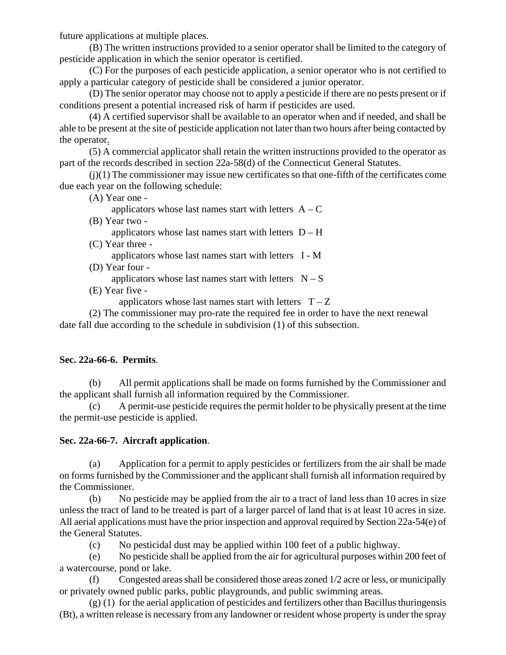future applications at multiple places.

(B) The written instructions provided to a senior operator shall be limited to the category of pesticide application in which the senior operator is certified.

(C) For the purposes of each pesticide application, a senior operator who is not certified to apply a particular category of pesticide shall be considered a junior operator.

(D) The senior operator may choose not to apply a pesticide if there are no pests present or if conditions present a potential increased risk of harm if pesticides are used.

(4) A certified supervisor shall be available to an operator when and if needed, and shall be able to be present at the site of pesticide application not later than two hours after being contacted by the operator.

(5) A commercial applicator shall retain the written instructions provided to the operator as part of the records described in section 22a-58(d) of the Connecticut General Statutes.

 $(j)(1)$  The commissioner may issue new certificates so that one-fifth of the certificates come due each year on the following schedule:

(A) Year one -

applicators whose last names start with letters  $A - C$ 

- (B) Year two applicators whose last names start with letters  $D - H$
- (C) Year three applicators whose last names start with letters I - M
- (D) Year four -

applicators whose last names start with letters  $N-S$ 

(E) Year five -

applicators whose last names start with letters  $T - Z$ 

(2) The commissioner may pro-rate the required fee in order to have the next renewal date fall due according to the schedule in subdivision (1) of this subsection.

#### **Sec. 22a-66-6. Permits**.

(b) All permit applications shall be made on forms furnished by the Commissioner and the applicant shall furnish all information required by the Commissioner.

 (c) A permit-use pesticide requires the permit holder to be physically present at the time the permit-use pesticide is applied.

## **Sec. 22a-66-7. Aircraft application**.

(a) Application for a permit to apply pesticides or fertilizers from the air shall be made on forms furnished by the Commissioner and the applicant shall furnish all information required by the Commissioner.

(b) No pesticide may be applied from the air to a tract of land less than 10 acres in size unless the tract of land to be treated is part of a larger parcel of land that is at least 10 acres in size. All aerial applications must have the prior inspection and approval required by Section 22a-54(e) of the General Statutes.

(c) No pesticidal dust may be applied within 100 feet of a public highway.

(e) No pesticide shall be applied from the air for agricultural purposes within 200 feet of a watercourse, pond or lake.

(f) Congested areas shall be considered those areas zoned 1/2 acre or less, or municipally or privately owned public parks, public playgrounds, and public swimming areas.

(g) (1) for the aerial application of pesticides and fertilizers other than Bacillus thuringensis (Bt), a written release is necessary from any landowner or resident whose property is under the spray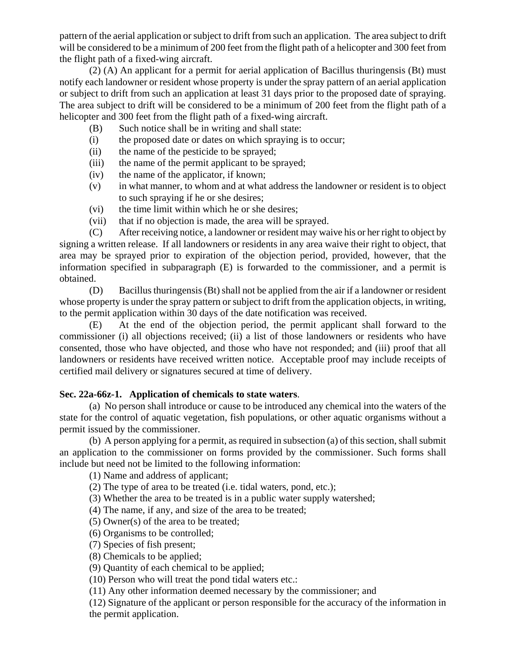pattern of the aerial application or subject to drift from such an application. The area subject to drift will be considered to be a minimum of 200 feet from the flight path of a helicopter and 300 feet from the flight path of a fixed-wing aircraft.

(2) (A) An applicant for a permit for aerial application of Bacillus thuringensis (Bt) must notify each landowner or resident whose property is under the spray pattern of an aerial application or subject to drift from such an application at least 31 days prior to the proposed date of spraying. The area subject to drift will be considered to be a minimum of 200 feet from the flight path of a helicopter and 300 feet from the flight path of a fixed-wing aircraft.

- (B) Such notice shall be in writing and shall state:
- (i) the proposed date or dates on which spraying is to occur;
- (ii) the name of the pesticide to be sprayed;
- (iii) the name of the permit applicant to be sprayed;
- (iv) the name of the applicator, if known;
- (v) in what manner, to whom and at what address the landowner or resident is to object to such spraying if he or she desires;
- (vi) the time limit within which he or she desires;
- (vii) that if no objection is made, the area will be sprayed.

(C) After receiving notice, a landowner or resident may waive his or her right to object by signing a written release. If all landowners or residents in any area waive their right to object, that area may be sprayed prior to expiration of the objection period, provided, however, that the information specified in subparagraph (E) is forwarded to the commissioner, and a permit is obtained.

(D) Bacillus thuringensis (Bt) shall not be applied from the air if a landowner or resident whose property is under the spray pattern or subject to drift from the application objects, in writing, to the permit application within 30 days of the date notification was received.

(E) At the end of the objection period, the permit applicant shall forward to the commissioner (i) all objections received; (ii) a list of those landowners or residents who have consented, those who have objected, and those who have not responded; and (iii) proof that all landowners or residents have received written notice. Acceptable proof may include receipts of certified mail delivery or signatures secured at time of delivery.

#### **Sec. 22a-66z-1. Application of chemicals to state waters**.

(a) No person shall introduce or cause to be introduced any chemical into the waters of the state for the control of aquatic vegetation, fish populations, or other aquatic organisms without a permit issued by the commissioner.

(b) A person applying for a permit, as required in subsection (a) of this section, shall submit an application to the commissioner on forms provided by the commissioner. Such forms shall include but need not be limited to the following information:

(1) Name and address of applicant;

(2) The type of area to be treated (i.e. tidal waters, pond, etc.);

(3) Whether the area to be treated is in a public water supply watershed;

(4) The name, if any, and size of the area to be treated;

(5) Owner(s) of the area to be treated;

- (6) Organisms to be controlled;
- (7) Species of fish present;

(8) Chemicals to be applied;

(9) Quantity of each chemical to be applied;

(10) Person who will treat the pond tidal waters etc.:

(11) Any other information deemed necessary by the commissioner; and

(12) Signature of the applicant or person responsible for the accuracy of the information in the permit application.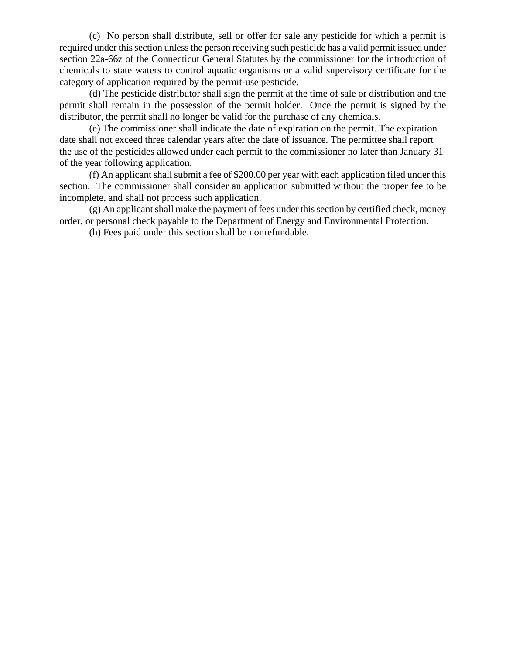(c) No person shall distribute, sell or offer for sale any pesticide for which a permit is required under this section unless the person receiving such pesticide has a valid permit issued under section 22a-66z of the Connecticut General Statutes by the commissioner for the introduction of chemicals to state waters to control aquatic organisms or a valid supervisory certificate for the category of application required by the permit-use pesticide.

(d) The pesticide distributor shall sign the permit at the time of sale or distribution and the permit shall remain in the possession of the permit holder. Once the permit is signed by the distributor, the permit shall no longer be valid for the purchase of any chemicals.

(e) The commissioner shall indicate the date of expiration on the permit. The expiration date shall not exceed three calendar years after the date of issuance. The permittee shall report the use of the pesticides allowed under each permit to the commissioner no later than January 31 of the year following application.

(f) An applicant shall submit a fee of \$200.00 per year with each application filed under this section. The commissioner shall consider an application submitted without the proper fee to be incomplete, and shall not process such application.

(g) An applicant shall make the payment of fees under this section by certified check, money order, or personal check payable to the Department of Energy and Environmental Protection.

(h) Fees paid under this section shall be nonrefundable.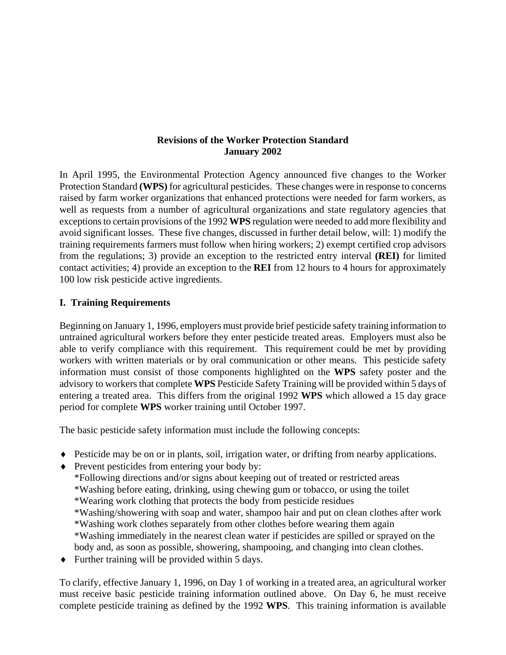## **Revisions of the Worker Protection Standard January 2002**

In April 1995, the Environmental Protection Agency announced five changes to the Worker Protection Standard **(WPS)** for agricultural pesticides. These changes were in response to concerns raised by farm worker organizations that enhanced protections were needed for farm workers, as well as requests from a number of agricultural organizations and state regulatory agencies that exceptions to certain provisions of the 1992 **WPS** regulation were needed to add more flexibility and avoid significant losses. These five changes, discussed in further detail below, will: 1) modify the training requirements farmers must follow when hiring workers; 2) exempt certified crop advisors from the regulations; 3) provide an exception to the restricted entry interval **(REI)** for limited contact activities; 4) provide an exception to the **REI** from 12 hours to 4 hours for approximately 100 low risk pesticide active ingredients.

## **I. Training Requirements**

Beginning on January 1, 1996, employers must provide brief pesticide safety training information to untrained agricultural workers before they enter pesticide treated areas. Employers must also be able to verify compliance with this requirement. This requirement could be met by providing workers with written materials or by oral communication or other means. This pesticide safety information must consist of those components highlighted on the **WPS** safety poster and the advisory to workers that complete **WPS** Pesticide Safety Training will be provided within 5 days of entering a treated area. This differs from the original 1992 **WPS** which allowed a 15 day grace period for complete **WPS** worker training until October 1997.

The basic pesticide safety information must include the following concepts:

- Pesticide may be on or in plants, soil, irrigation water, or drifting from nearby applications.
- Prevent pesticides from entering your body by:
	- \*Following directions and/or signs about keeping out of treated or restricted areas
	- \*Washing before eating, drinking, using chewing gum or tobacco, or using the toilet
	- \*Wearing work clothing that protects the body from pesticide residues
	- \*Washing/showering with soap and water, shampoo hair and put on clean clothes after work \*Washing work clothes separately from other clothes before wearing them again
	- \*Washing immediately in the nearest clean water if pesticides are spilled or sprayed on the body and, as soon as possible, showering, shampooing, and changing into clean clothes.
- Further training will be provided within 5 days.

To clarify, effective January 1, 1996, on Day 1 of working in a treated area, an agricultural worker must receive basic pesticide training information outlined above. On Day 6, he must receive complete pesticide training as defined by the 1992 **WPS**. This training information is available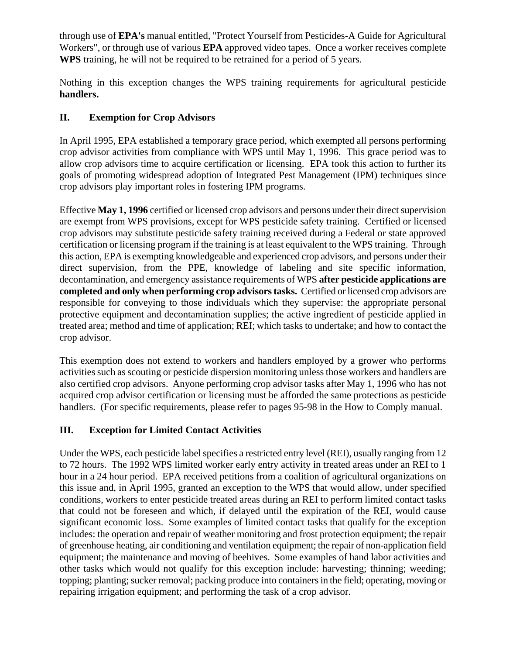through use of **EPA's** manual entitled, "Protect Yourself from Pesticides-A Guide for Agricultural Workers", or through use of various **EPA** approved video tapes. Once a worker receives complete **WPS** training, he will not be required to be retrained for a period of 5 years.

Nothing in this exception changes the WPS training requirements for agricultural pesticide **handlers.**

# **II. Exemption for Crop Advisors**

In April 1995, EPA established a temporary grace period, which exempted all persons performing crop advisor activities from compliance with WPS until May 1, 1996. This grace period was to allow crop advisors time to acquire certification or licensing. EPA took this action to further its goals of promoting widespread adoption of Integrated Pest Management (IPM) techniques since crop advisors play important roles in fostering IPM programs.

Effective **May 1, 1996** certified or licensed crop advisors and persons under their direct supervision are exempt from WPS provisions, except for WPS pesticide safety training. Certified or licensed crop advisors may substitute pesticide safety training received during a Federal or state approved certification or licensing program if the training is at least equivalent to the WPS training. Through this action, EPA is exempting knowledgeable and experienced crop advisors, and persons under their direct supervision, from the PPE, knowledge of labeling and site specific information, decontamination, and emergency assistance requirements of WPS **after pesticide applications are completed and only when performing crop advisors tasks.** Certified or licensed crop advisors are responsible for conveying to those individuals which they supervise: the appropriate personal protective equipment and decontamination supplies; the active ingredient of pesticide applied in treated area; method and time of application; REI; which tasks to undertake; and how to contact the crop advisor.

This exemption does not extend to workers and handlers employed by a grower who performs activities such as scouting or pesticide dispersion monitoring unless those workers and handlers are also certified crop advisors. Anyone performing crop advisor tasks after May 1, 1996 who has not acquired crop advisor certification or licensing must be afforded the same protections as pesticide handlers. (For specific requirements, please refer to pages 95-98 in the How to Comply manual.

# **III. Exception for Limited Contact Activities**

Under the WPS, each pesticide label specifies a restricted entry level (REI), usually ranging from 12 to 72 hours. The 1992 WPS limited worker early entry activity in treated areas under an REI to 1 hour in a 24 hour period. EPA received petitions from a coalition of agricultural organizations on this issue and, in April 1995, granted an exception to the WPS that would allow, under specified conditions, workers to enter pesticide treated areas during an REI to perform limited contact tasks that could not be foreseen and which, if delayed until the expiration of the REI, would cause significant economic loss. Some examples of limited contact tasks that qualify for the exception includes: the operation and repair of weather monitoring and frost protection equipment; the repair of greenhouse heating, air conditioning and ventilation equipment; the repair of non-application field equipment; the maintenance and moving of beehives. Some examples of hand labor activities and other tasks which would not qualify for this exception include: harvesting; thinning; weeding; topping; planting; sucker removal; packing produce into containers in the field; operating, moving or repairing irrigation equipment; and performing the task of a crop advisor.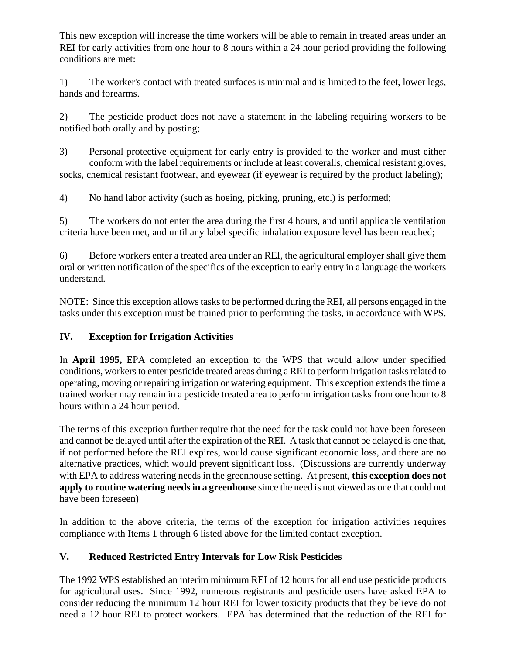This new exception will increase the time workers will be able to remain in treated areas under an REI for early activities from one hour to 8 hours within a 24 hour period providing the following conditions are met:

1) The worker's contact with treated surfaces is minimal and is limited to the feet, lower legs, hands and forearms.

2) The pesticide product does not have a statement in the labeling requiring workers to be notified both orally and by posting;

3) Personal protective equipment for early entry is provided to the worker and must either conform with the label requirements or include at least coveralls, chemical resistant gloves, socks, chemical resistant footwear, and eyewear (if eyewear is required by the product labeling);

4) No hand labor activity (such as hoeing, picking, pruning, etc.) is performed;

5) The workers do not enter the area during the first 4 hours, and until applicable ventilation criteria have been met, and until any label specific inhalation exposure level has been reached;

6) Before workers enter a treated area under an REI, the agricultural employer shall give them oral or written notification of the specifics of the exception to early entry in a language the workers understand.

NOTE: Since this exception allows tasks to be performed during the REI, all persons engaged in the tasks under this exception must be trained prior to performing the tasks, in accordance with WPS.

# **IV. Exception for Irrigation Activities**

In **April 1995,** EPA completed an exception to the WPS that would allow under specified conditions, workers to enter pesticide treated areas during a REI to perform irrigation tasks related to operating, moving or repairing irrigation or watering equipment. This exception extends the time a trained worker may remain in a pesticide treated area to perform irrigation tasks from one hour to 8 hours within a 24 hour period.

The terms of this exception further require that the need for the task could not have been foreseen and cannot be delayed until after the expiration of the REI. A task that cannot be delayed is one that, if not performed before the REI expires, would cause significant economic loss, and there are no alternative practices, which would prevent significant loss. (Discussions are currently underway with EPA to address watering needs in the greenhouse setting. At present, **this exception does not apply to routine watering needs in a greenhouse** since the need is not viewed as one that could not have been foreseen)

In addition to the above criteria, the terms of the exception for irrigation activities requires compliance with Items 1 through 6 listed above for the limited contact exception.

# **V. Reduced Restricted Entry Intervals for Low Risk Pesticides**

The 1992 WPS established an interim minimum REI of 12 hours for all end use pesticide products for agricultural uses. Since 1992, numerous registrants and pesticide users have asked EPA to consider reducing the minimum 12 hour REI for lower toxicity products that they believe do not need a 12 hour REI to protect workers. EPA has determined that the reduction of the REI for